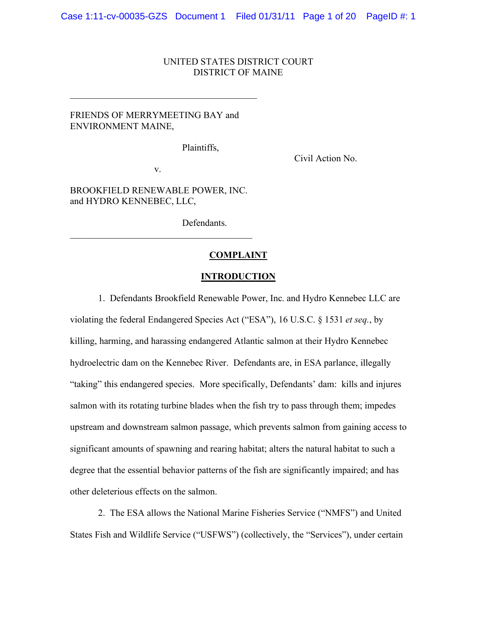### UNITED STATES DISTRICT COURT DISTRICT OF MAINE

# FRIENDS OF MERRYMEETING BAY and ENVIRONMENT MAINE,

 $\mathcal{L}_\text{max}$ 

Plaintiffs,

Civil Action No.

v.

BROOKFIELD RENEWABLE POWER, INC. and HYDRO KENNEBEC, LLC,

 $\mathcal{L}_\text{max}$  and  $\mathcal{L}_\text{max}$  and  $\mathcal{L}_\text{max}$  and  $\mathcal{L}_\text{max}$ 

Defendants.

#### **COMPLAINT**

#### **INTRODUCTION**

1. Defendants Brookfield Renewable Power, Inc. and Hydro Kennebec LLC are

violating the federal Endangered Species Act ("ESA"), 16 U.S.C. § 1531 *et seq.*, by killing, harming, and harassing endangered Atlantic salmon at their Hydro Kennebec hydroelectric dam on the Kennebec River. Defendants are, in ESA parlance, illegally "taking" this endangered species. More specifically, Defendants' dam: kills and injures salmon with its rotating turbine blades when the fish try to pass through them; impedes upstream and downstream salmon passage, which prevents salmon from gaining access to significant amounts of spawning and rearing habitat; alters the natural habitat to such a degree that the essential behavior patterns of the fish are significantly impaired; and has other deleterious effects on the salmon.

2. The ESA allows the National Marine Fisheries Service ("NMFS") and United States Fish and Wildlife Service ("USFWS") (collectively, the "Services"), under certain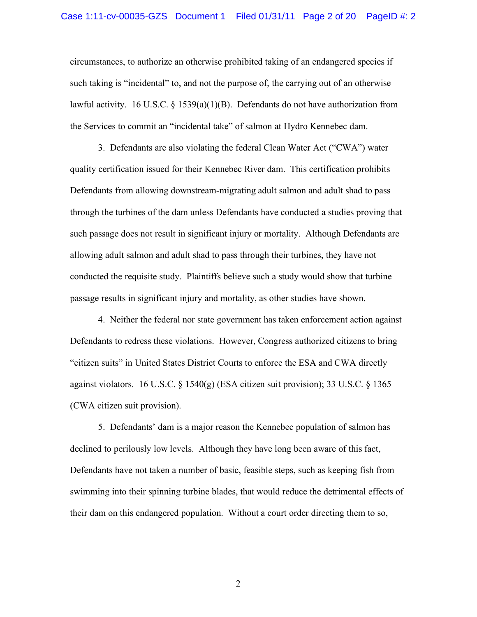circumstances, to authorize an otherwise prohibited taking of an endangered species if such taking is "incidental" to, and not the purpose of, the carrying out of an otherwise lawful activity. 16 U.S.C.  $\S$  1539(a)(1)(B). Defendants do not have authorization from the Services to commit an "incidental take" of salmon at Hydro Kennebec dam.

3. Defendants are also violating the federal Clean Water Act ("CWA") water quality certification issued for their Kennebec River dam. This certification prohibits Defendants from allowing downstream-migrating adult salmon and adult shad to pass through the turbines of the dam unless Defendants have conducted a studies proving that such passage does not result in significant injury or mortality. Although Defendants are allowing adult salmon and adult shad to pass through their turbines, they have not conducted the requisite study. Plaintiffs believe such a study would show that turbine passage results in significant injury and mortality, as other studies have shown.

4. Neither the federal nor state government has taken enforcement action against Defendants to redress these violations. However, Congress authorized citizens to bring "citizen suits" in United States District Courts to enforce the ESA and CWA directly against violators. 16 U.S.C.  $\S$  1540(g) (ESA citizen suit provision); 33 U.S.C.  $\S$  1365 (CWA citizen suit provision).

5. Defendants' dam is a major reason the Kennebec population of salmon has declined to perilously low levels. Although they have long been aware of this fact, Defendants have not taken a number of basic, feasible steps, such as keeping fish from swimming into their spinning turbine blades, that would reduce the detrimental effects of their dam on this endangered population. Without a court order directing them to so,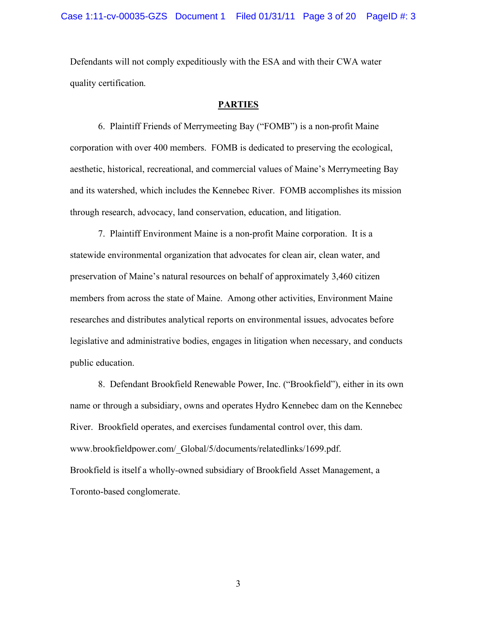Defendants will not comply expeditiously with the ESA and with their CWA water quality certification.

### **PARTIES**

6. Plaintiff Friends of Merrymeeting Bay ("FOMB") is a non-profit Maine corporation with over 400 members. FOMB is dedicated to preserving the ecological, aesthetic, historical, recreational, and commercial values of Maine's Merrymeeting Bay and its watershed, which includes the Kennebec River. FOMB accomplishes its mission through research, advocacy, land conservation, education, and litigation.

7. Plaintiff Environment Maine is a non-profit Maine corporation. It is a statewide environmental organization that advocates for clean air, clean water, and preservation of Maine's natural resources on behalf of approximately 3,460 citizen members from across the state of Maine. Among other activities, Environment Maine researches and distributes analytical reports on environmental issues, advocates before legislative and administrative bodies, engages in litigation when necessary, and conducts public education.

8. Defendant Brookfield Renewable Power, Inc. ("Brookfield"), either in its own name or through a subsidiary, owns and operates Hydro Kennebec dam on the Kennebec River. Brookfield operates, and exercises fundamental control over, this dam. www.brookfieldpower.com/\_Global/5/documents/relatedlinks/1699.pdf. Brookfield is itself a wholly-owned subsidiary of Brookfield Asset Management, a Toronto-based conglomerate.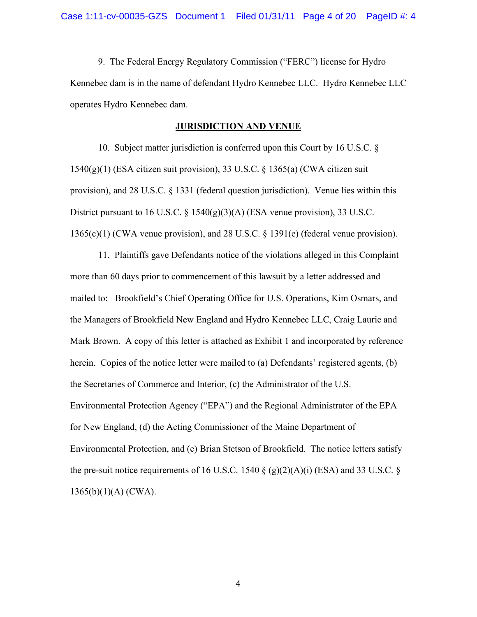9. The Federal Energy Regulatory Commission ("FERC") license for Hydro Kennebec dam is in the name of defendant Hydro Kennebec LLC. Hydro Kennebec LLC operates Hydro Kennebec dam.

#### **JURISDICTION AND VENUE**

10. Subject matter jurisdiction is conferred upon this Court by 16 U.S.C. § 1540(g)(1) (ESA citizen suit provision), 33 U.S.C. § 1365(a) (CWA citizen suit provision), and 28 U.S.C. § 1331 (federal question jurisdiction). Venue lies within this District pursuant to 16 U.S.C. § 1540(g)(3)(A) (ESA venue provision), 33 U.S.C. 1365(c)(1) (CWA venue provision), and 28 U.S.C. § 1391(e) (federal venue provision).

11. Plaintiffs gave Defendants notice of the violations alleged in this Complaint more than 60 days prior to commencement of this lawsuit by a letter addressed and mailed to: Brookfield's Chief Operating Office for U.S. Operations, Kim Osmars, and the Managers of Brookfield New England and Hydro Kennebec LLC, Craig Laurie and Mark Brown. A copy of this letter is attached as Exhibit 1 and incorporated by reference herein. Copies of the notice letter were mailed to (a) Defendants' registered agents, (b) the Secretaries of Commerce and Interior, (c) the Administrator of the U.S. Environmental Protection Agency ("EPA") and the Regional Administrator of the EPA for New England, (d) the Acting Commissioner of the Maine Department of Environmental Protection, and (e) Brian Stetson of Brookfield. The notice letters satisfy the pre-suit notice requirements of 16 U.S.C. 1540  $\S$  (g)(2)(A)(i) (ESA) and 33 U.S.C. § 1365(b)(1)(A) (CWA).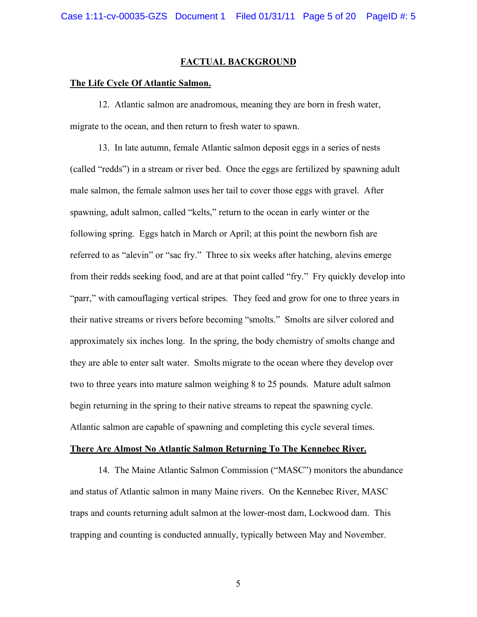### **FACTUAL BACKGROUND**

#### **The Life Cycle Of Atlantic Salmon.**

12. Atlantic salmon are anadromous, meaning they are born in fresh water, migrate to the ocean, and then return to fresh water to spawn.

13. In late autumn, female Atlantic salmon deposit eggs in a series of nests (called "redds") in a stream or river bed. Once the eggs are fertilized by spawning adult male salmon, the female salmon uses her tail to cover those eggs with gravel. After spawning, adult salmon, called "kelts," return to the ocean in early winter or the following spring. Eggs hatch in March or April; at this point the newborn fish are referred to as "alevin" or "sac fry." Three to six weeks after hatching, alevins emerge from their redds seeking food, and are at that point called "fry." Fry quickly develop into "parr," with camouflaging vertical stripes. They feed and grow for one to three years in their native streams or rivers before becoming "smolts." Smolts are silver colored and approximately six inches long. In the spring, the body chemistry of smolts change and they are able to enter salt water. Smolts migrate to the ocean where they develop over two to three years into mature salmon weighing 8 to 25 pounds. Mature adult salmon begin returning in the spring to their native streams to repeat the spawning cycle. Atlantic salmon are capable of spawning and completing this cycle several times.

#### **There Are Almost No Atlantic Salmon Returning To The Kennebec River.**

14. The Maine Atlantic Salmon Commission ("MASC") monitors the abundance and status of Atlantic salmon in many Maine rivers. On the Kennebec River, MASC traps and counts returning adult salmon at the lower-most dam, Lockwood dam. This trapping and counting is conducted annually, typically between May and November.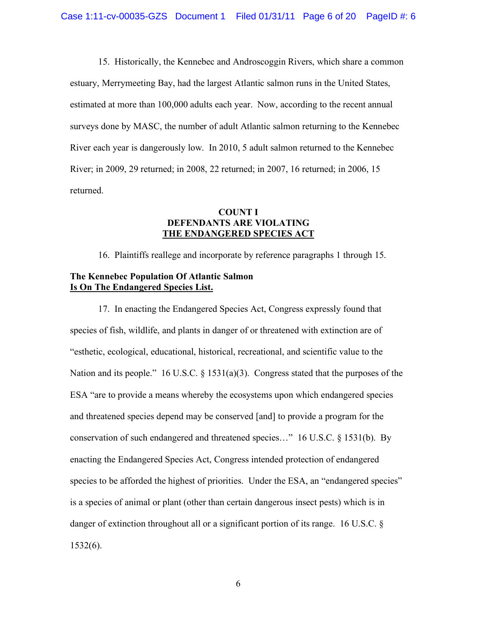15. Historically, the Kennebec and Androscoggin Rivers, which share a common estuary, Merrymeeting Bay, had the largest Atlantic salmon runs in the United States, estimated at more than 100,000 adults each year. Now, according to the recent annual surveys done by MASC, the number of adult Atlantic salmon returning to the Kennebec River each year is dangerously low. In 2010, 5 adult salmon returned to the Kennebec River; in 2009, 29 returned; in 2008, 22 returned; in 2007, 16 returned; in 2006, 15 returned.

# **COUNT I DEFENDANTS ARE VIOLATING THE ENDANGERED SPECIES ACT**

16. Plaintiffs reallege and incorporate by reference paragraphs 1 through 15.

## **The Kennebec Population Of Atlantic Salmon Is On The Endangered Species List.**

17. In enacting the Endangered Species Act, Congress expressly found that species of fish, wildlife, and plants in danger of or threatened with extinction are of "esthetic, ecological, educational, historical, recreational, and scientific value to the Nation and its people." 16 U.S.C. § 1531(a)(3). Congress stated that the purposes of the ESA "are to provide a means whereby the ecosystems upon which endangered species and threatened species depend may be conserved [and] to provide a program for the conservation of such endangered and threatened species…" 16 U.S.C. § 1531(b). By enacting the Endangered Species Act, Congress intended protection of endangered species to be afforded the highest of priorities. Under the ESA, an "endangered species" is a species of animal or plant (other than certain dangerous insect pests) which is in danger of extinction throughout all or a significant portion of its range. 16 U.S.C. § 1532(6).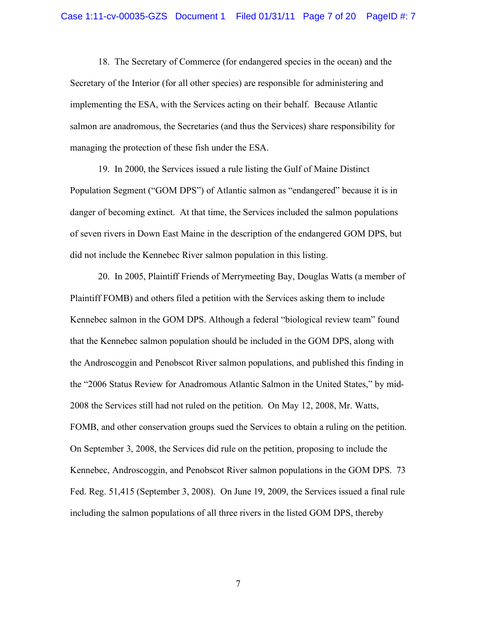18. The Secretary of Commerce (for endangered species in the ocean) and the Secretary of the Interior (for all other species) are responsible for administering and implementing the ESA, with the Services acting on their behalf. Because Atlantic salmon are anadromous, the Secretaries (and thus the Services) share responsibility for managing the protection of these fish under the ESA.

19. In 2000, the Services issued a rule listing the Gulf of Maine Distinct Population Segment ("GOM DPS") of Atlantic salmon as "endangered" because it is in danger of becoming extinct. At that time, the Services included the salmon populations of seven rivers in Down East Maine in the description of the endangered GOM DPS, but did not include the Kennebec River salmon population in this listing.

20. In 2005, Plaintiff Friends of Merrymeeting Bay, Douglas Watts (a member of Plaintiff FOMB) and others filed a petition with the Services asking them to include Kennebec salmon in the GOM DPS. Although a federal "biological review team" found that the Kennebec salmon population should be included in the GOM DPS, along with the Androscoggin and Penobscot River salmon populations, and published this finding in the "2006 Status Review for Anadromous Atlantic Salmon in the United States," by mid-2008 the Services still had not ruled on the petition. On May 12, 2008, Mr. Watts, FOMB, and other conservation groups sued the Services to obtain a ruling on the petition. On September 3, 2008, the Services did rule on the petition, proposing to include the Kennebec, Androscoggin, and Penobscot River salmon populations in the GOM DPS. 73 Fed. Reg. 51,415 (September 3, 2008). On June 19, 2009, the Services issued a final rule including the salmon populations of all three rivers in the listed GOM DPS, thereby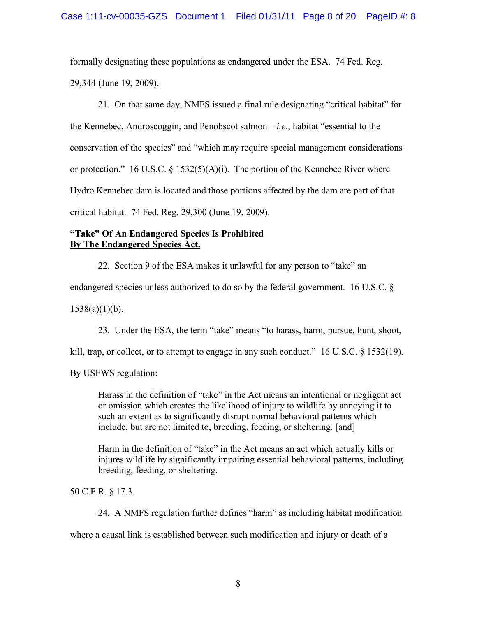formally designating these populations as endangered under the ESA. 74 Fed. Reg. 29,344 (June 19, 2009).

21. On that same day, NMFS issued a final rule designating "critical habitat" for the Kennebec, Androscoggin, and Penobscot salmon – *i.e*., habitat "essential to the conservation of the species" and "which may require special management considerations or protection." 16 U.S.C. § 1532(5)(A)(i). The portion of the Kennebec River where Hydro Kennebec dam is located and those portions affected by the dam are part of that critical habitat. 74 Fed. Reg. 29,300 (June 19, 2009).

# **"Take" Of An Endangered Species Is Prohibited By The Endangered Species Act.**

22. Section 9 of the ESA makes it unlawful for any person to "take" an

endangered species unless authorized to do so by the federal government. 16 U.S.C. §

 $1538(a)(1)(b)$ .

23. Under the ESA, the term "take" means "to harass, harm, pursue, hunt, shoot,

kill, trap, or collect, or to attempt to engage in any such conduct."  $16 \text{ U.S.C. }$  \$ 1532(19).

By USFWS regulation:

Harass in the definition of "take" in the Act means an intentional or negligent act or omission which creates the likelihood of injury to wildlife by annoying it to such an extent as to significantly disrupt normal behavioral patterns which include, but are not limited to, breeding, feeding, or sheltering. [and]

Harm in the definition of "take" in the Act means an act which actually kills or injures wildlife by significantly impairing essential behavioral patterns, including breeding, feeding, or sheltering.

50 C.F.R. § 17.3.

24. A NMFS regulation further defines "harm" as including habitat modification

where a causal link is established between such modification and injury or death of a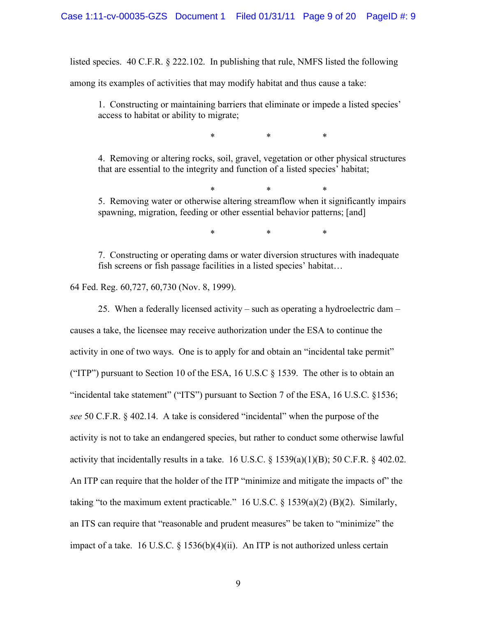listed species. 40 C.F.R. § 222.102. In publishing that rule, NMFS listed the following

among its examples of activities that may modify habitat and thus cause a take:

1. Constructing or maintaining barriers that eliminate or impede a listed species' access to habitat or ability to migrate;

\* \* \*

4. Removing or altering rocks, soil, gravel, vegetation or other physical structures that are essential to the integrity and function of a listed species' habitat;

\* \* \*

5. Removing water or otherwise altering streamflow when it significantly impairs spawning, migration, feeding or other essential behavior patterns; [and]

\* \* \*

7. Constructing or operating dams or water diversion structures with inadequate fish screens or fish passage facilities in a listed species' habitat…

64 Fed. Reg. 60,727, 60,730 (Nov. 8, 1999).

25. When a federally licensed activity – such as operating a hydroelectric dam – causes a take, the licensee may receive authorization under the ESA to continue the activity in one of two ways. One is to apply for and obtain an "incidental take permit" ("ITP") pursuant to Section 10 of the ESA, 16 U.S.C  $\S$  1539. The other is to obtain an "incidental take statement" ("ITS") pursuant to Section 7 of the ESA, 16 U.S.C. §1536; *see* 50 C.F.R. § 402.14. A take is considered "incidental" when the purpose of the activity is not to take an endangered species, but rather to conduct some otherwise lawful activity that incidentally results in a take. 16 U.S.C.  $\S$  1539(a)(1)(B); 50 C.F.R.  $\S$  402.02. An ITP can require that the holder of the ITP "minimize and mitigate the impacts of" the taking "to the maximum extent practicable." 16 U.S.C. § 1539(a)(2) (B)(2). Similarly, an ITS can require that "reasonable and prudent measures" be taken to "minimize" the impact of a take. 16 U.S.C. § 1536(b)(4)(ii). An ITP is not authorized unless certain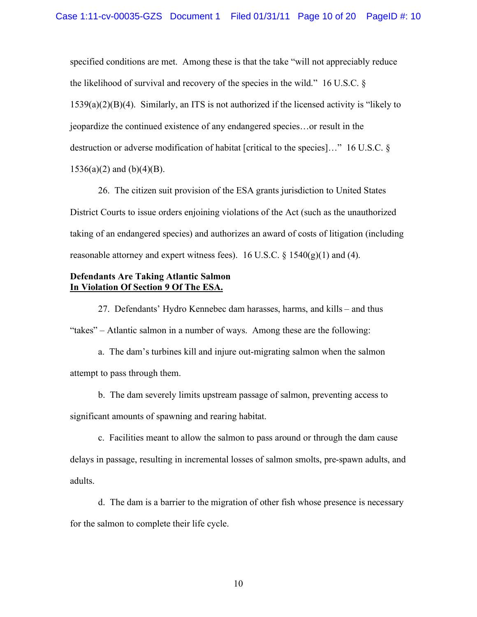specified conditions are met. Among these is that the take "will not appreciably reduce the likelihood of survival and recovery of the species in the wild." 16 U.S.C. § 1539(a)(2)(B)(4). Similarly, an ITS is not authorized if the licensed activity is "likely to jeopardize the continued existence of any endangered species…or result in the destruction or adverse modification of habitat [critical to the species]…" 16 U.S.C. §  $1536(a)(2)$  and  $(b)(4)(B)$ .

26. The citizen suit provision of the ESA grants jurisdiction to United States District Courts to issue orders enjoining violations of the Act (such as the unauthorized taking of an endangered species) and authorizes an award of costs of litigation (including reasonable attorney and expert witness fees). 16 U.S.C.  $\S$  1540(g)(1) and (4).

### **Defendants Are Taking Atlantic Salmon In Violation Of Section 9 Of The ESA.**

27. Defendants' Hydro Kennebec dam harasses, harms, and kills – and thus "takes" – Atlantic salmon in a number of ways. Among these are the following:

a. The dam's turbines kill and injure out-migrating salmon when the salmon attempt to pass through them.

b. The dam severely limits upstream passage of salmon, preventing access to significant amounts of spawning and rearing habitat.

c. Facilities meant to allow the salmon to pass around or through the dam cause delays in passage, resulting in incremental losses of salmon smolts, pre-spawn adults, and adults.

d. The dam is a barrier to the migration of other fish whose presence is necessary for the salmon to complete their life cycle.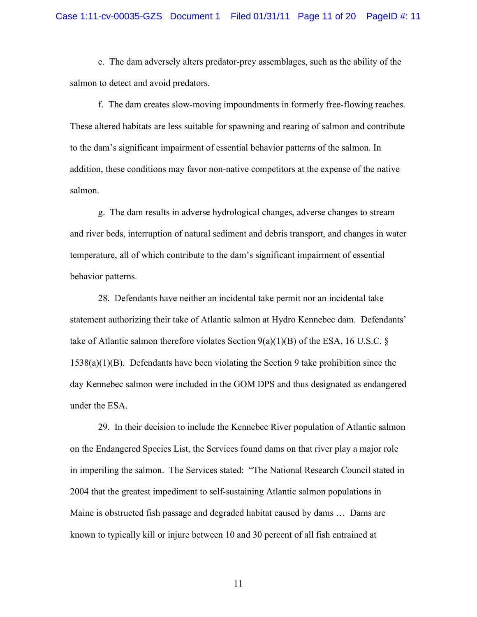e. The dam adversely alters predator-prey assemblages, such as the ability of the salmon to detect and avoid predators.

f. The dam creates slow-moving impoundments in formerly free-flowing reaches. These altered habitats are less suitable for spawning and rearing of salmon and contribute to the dam's significant impairment of essential behavior patterns of the salmon. In addition, these conditions may favor non-native competitors at the expense of the native salmon.

g. The dam results in adverse hydrological changes, adverse changes to stream and river beds, interruption of natural sediment and debris transport, and changes in water temperature, all of which contribute to the dam's significant impairment of essential behavior patterns.

28. Defendants have neither an incidental take permit nor an incidental take statement authorizing their take of Atlantic salmon at Hydro Kennebec dam. Defendants' take of Atlantic salmon therefore violates Section  $9(a)(1)(B)$  of the ESA, 16 U.S.C. § 1538(a)(1)(B). Defendants have been violating the Section 9 take prohibition since the day Kennebec salmon were included in the GOM DPS and thus designated as endangered under the ESA.

29. In their decision to include the Kennebec River population of Atlantic salmon on the Endangered Species List, the Services found dams on that river play a major role in imperiling the salmon. The Services stated: "The National Research Council stated in 2004 that the greatest impediment to self-sustaining Atlantic salmon populations in Maine is obstructed fish passage and degraded habitat caused by dams … Dams are known to typically kill or injure between 10 and 30 percent of all fish entrained at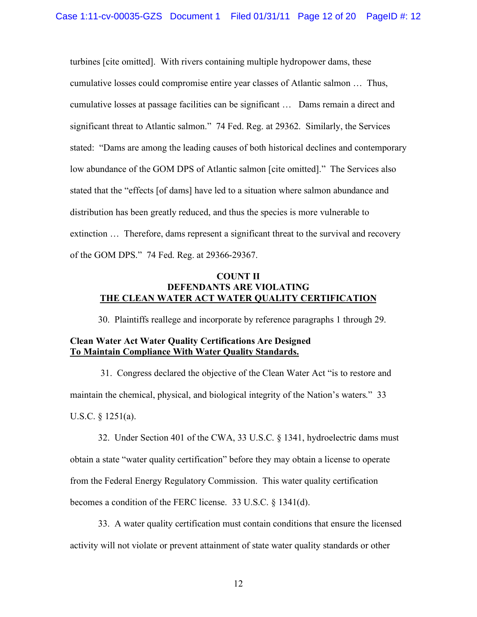turbines [cite omitted]. With rivers containing multiple hydropower dams, these cumulative losses could compromise entire year classes of Atlantic salmon … Thus, cumulative losses at passage facilities can be significant … Dams remain a direct and significant threat to Atlantic salmon." 74 Fed. Reg. at 29362. Similarly, the Services stated: "Dams are among the leading causes of both historical declines and contemporary low abundance of the GOM DPS of Atlantic salmon [cite omitted]." The Services also stated that the "effects [of dams] have led to a situation where salmon abundance and distribution has been greatly reduced, and thus the species is more vulnerable to extinction … Therefore, dams represent a significant threat to the survival and recovery of the GOM DPS." 74 Fed. Reg. at 29366-29367.

## **COUNT II DEFENDANTS ARE VIOLATING THE CLEAN WATER ACT WATER QUALITY CERTIFICATION**

30. Plaintiffs reallege and incorporate by reference paragraphs 1 through 29.

## **Clean Water Act Water Quality Certifications Are Designed To Maintain Compliance With Water Quality Standards.**

 31. Congress declared the objective of the Clean Water Act "is to restore and maintain the chemical, physical, and biological integrity of the Nation's waters." 33 U.S.C. § 1251(a).

32. Under Section 401 of the CWA, 33 U.S.C. § 1341, hydroelectric dams must obtain a state "water quality certification" before they may obtain a license to operate from the Federal Energy Regulatory Commission. This water quality certification becomes a condition of the FERC license. 33 U.S.C. § 1341(d).

33. A water quality certification must contain conditions that ensure the licensed activity will not violate or prevent attainment of state water quality standards or other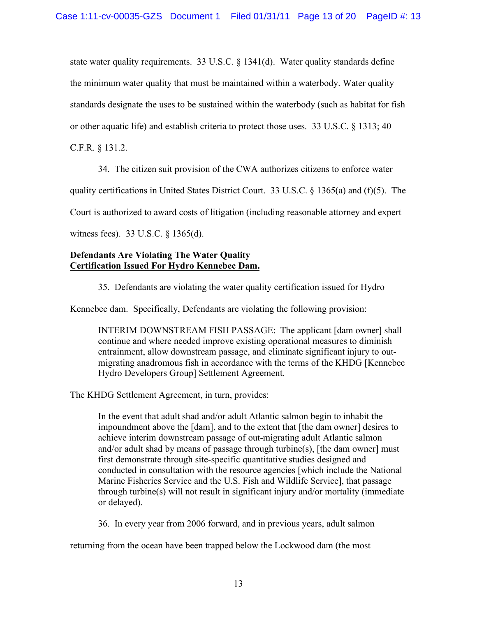state water quality requirements. 33 U.S.C. § 1341(d). Water quality standards define the minimum water quality that must be maintained within a waterbody. Water quality standards designate the uses to be sustained within the waterbody (such as habitat for fish

or other aquatic life) and establish criteria to protect those uses. 33 U.S.C. § 1313; 40

C.F.R. § 131.2.

34. The citizen suit provision of the CWA authorizes citizens to enforce water

quality certifications in United States District Court. 33 U.S.C.  $\S$  1365(a) and (f)(5). The

Court is authorized to award costs of litigation (including reasonable attorney and expert

witness fees). 33 U.S.C. § 1365(d).

# **Defendants Are Violating The Water Quality Certification Issued For Hydro Kennebec Dam.**

35. Defendants are violating the water quality certification issued for Hydro

Kennebec dam. Specifically, Defendants are violating the following provision:

INTERIM DOWNSTREAM FISH PASSAGE: The applicant [dam owner] shall continue and where needed improve existing operational measures to diminish entrainment, allow downstream passage, and eliminate significant injury to outmigrating anadromous fish in accordance with the terms of the KHDG [Kennebec Hydro Developers Group] Settlement Agreement.

The KHDG Settlement Agreement, in turn, provides:

In the event that adult shad and/or adult Atlantic salmon begin to inhabit the impoundment above the [dam], and to the extent that [the dam owner] desires to achieve interim downstream passage of out-migrating adult Atlantic salmon and/or adult shad by means of passage through turbine(s), [the dam owner] must first demonstrate through site-specific quantitative studies designed and conducted in consultation with the resource agencies [which include the National Marine Fisheries Service and the U.S. Fish and Wildlife Service], that passage through turbine(s) will not result in significant injury and/or mortality (immediate or delayed).

36. In every year from 2006 forward, and in previous years, adult salmon

returning from the ocean have been trapped below the Lockwood dam (the most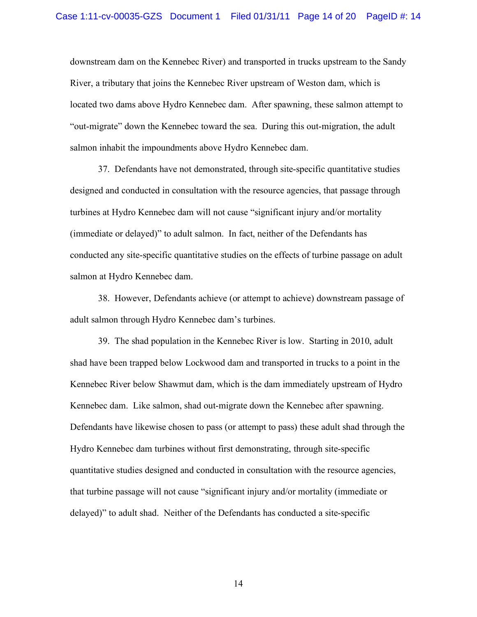downstream dam on the Kennebec River) and transported in trucks upstream to the Sandy River, a tributary that joins the Kennebec River upstream of Weston dam, which is located two dams above Hydro Kennebec dam. After spawning, these salmon attempt to "out-migrate" down the Kennebec toward the sea. During this out-migration, the adult salmon inhabit the impoundments above Hydro Kennebec dam.

37. Defendants have not demonstrated, through site-specific quantitative studies designed and conducted in consultation with the resource agencies, that passage through turbines at Hydro Kennebec dam will not cause "significant injury and/or mortality (immediate or delayed)" to adult salmon. In fact, neither of the Defendants has conducted any site-specific quantitative studies on the effects of turbine passage on adult salmon at Hydro Kennebec dam.

38. However, Defendants achieve (or attempt to achieve) downstream passage of adult salmon through Hydro Kennebec dam's turbines.

39. The shad population in the Kennebec River is low. Starting in 2010, adult shad have been trapped below Lockwood dam and transported in trucks to a point in the Kennebec River below Shawmut dam, which is the dam immediately upstream of Hydro Kennebec dam. Like salmon, shad out-migrate down the Kennebec after spawning. Defendants have likewise chosen to pass (or attempt to pass) these adult shad through the Hydro Kennebec dam turbines without first demonstrating, through site-specific quantitative studies designed and conducted in consultation with the resource agencies, that turbine passage will not cause "significant injury and/or mortality (immediate or delayed)" to adult shad. Neither of the Defendants has conducted a site-specific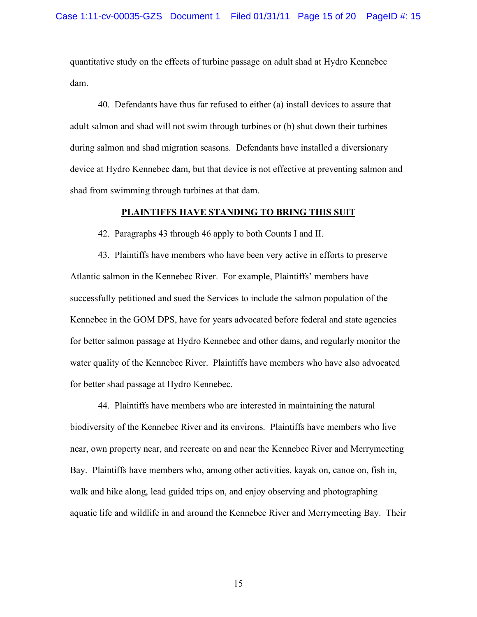quantitative study on the effects of turbine passage on adult shad at Hydro Kennebec dam.

40. Defendants have thus far refused to either (a) install devices to assure that adult salmon and shad will not swim through turbines or (b) shut down their turbines during salmon and shad migration seasons. Defendants have installed a diversionary device at Hydro Kennebec dam, but that device is not effective at preventing salmon and shad from swimming through turbines at that dam.

## **PLAINTIFFS HAVE STANDING TO BRING THIS SUIT**

42. Paragraphs 43 through 46 apply to both Counts I and II.

43. Plaintiffs have members who have been very active in efforts to preserve Atlantic salmon in the Kennebec River. For example, Plaintiffs' members have successfully petitioned and sued the Services to include the salmon population of the Kennebec in the GOM DPS, have for years advocated before federal and state agencies for better salmon passage at Hydro Kennebec and other dams, and regularly monitor the water quality of the Kennebec River. Plaintiffs have members who have also advocated for better shad passage at Hydro Kennebec.

44. Plaintiffs have members who are interested in maintaining the natural biodiversity of the Kennebec River and its environs. Plaintiffs have members who live near, own property near, and recreate on and near the Kennebec River and Merrymeeting Bay. Plaintiffs have members who, among other activities, kayak on, canoe on, fish in, walk and hike along, lead guided trips on, and enjoy observing and photographing aquatic life and wildlife in and around the Kennebec River and Merrymeeting Bay. Their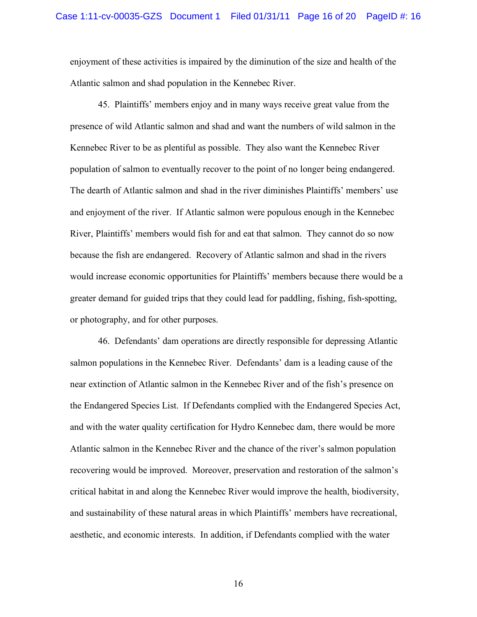enjoyment of these activities is impaired by the diminution of the size and health of the Atlantic salmon and shad population in the Kennebec River.

45. Plaintiffs' members enjoy and in many ways receive great value from the presence of wild Atlantic salmon and shad and want the numbers of wild salmon in the Kennebec River to be as plentiful as possible. They also want the Kennebec River population of salmon to eventually recover to the point of no longer being endangered. The dearth of Atlantic salmon and shad in the river diminishes Plaintiffs' members' use and enjoyment of the river. If Atlantic salmon were populous enough in the Kennebec River, Plaintiffs' members would fish for and eat that salmon. They cannot do so now because the fish are endangered. Recovery of Atlantic salmon and shad in the rivers would increase economic opportunities for Plaintiffs' members because there would be a greater demand for guided trips that they could lead for paddling, fishing, fish-spotting, or photography, and for other purposes.

46. Defendants' dam operations are directly responsible for depressing Atlantic salmon populations in the Kennebec River. Defendants' dam is a leading cause of the near extinction of Atlantic salmon in the Kennebec River and of the fish's presence on the Endangered Species List. If Defendants complied with the Endangered Species Act, and with the water quality certification for Hydro Kennebec dam, there would be more Atlantic salmon in the Kennebec River and the chance of the river's salmon population recovering would be improved. Moreover, preservation and restoration of the salmon's critical habitat in and along the Kennebec River would improve the health, biodiversity, and sustainability of these natural areas in which Plaintiffs' members have recreational, aesthetic, and economic interests. In addition, if Defendants complied with the water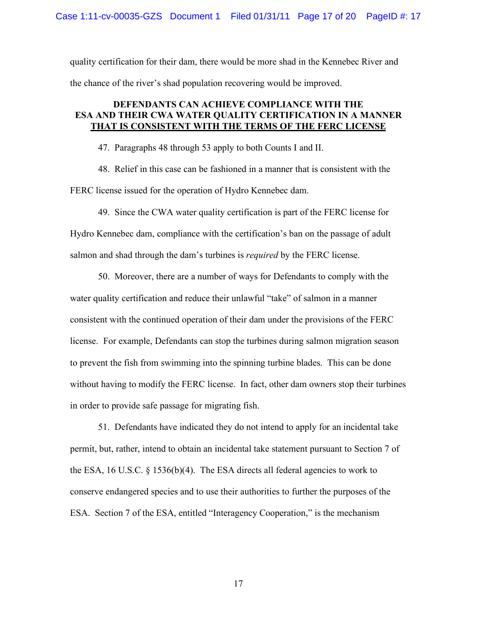quality certification for their dam, there would be more shad in the Kennebec River and the chance of the river's shad population recovering would be improved.

# **DEFENDANTS CAN ACHIEVE COMPLIANCE WITH THE ESA AND THEIR CWA WATER QUALITY CERTIFICATION IN A MANNER THAT IS CONSISTENT WITH THE TERMS OF THE FERC LICENSE**

47. Paragraphs 48 through 53 apply to both Counts I and II.

48. Relief in this case can be fashioned in a manner that is consistent with the FERC license issued for the operation of Hydro Kennebec dam.

49. Since the CWA water quality certification is part of the FERC license for Hydro Kennebec dam, compliance with the certification's ban on the passage of adult salmon and shad through the dam's turbines is *required* by the FERC license.

50. Moreover, there are a number of ways for Defendants to comply with the water quality certification and reduce their unlawful "take" of salmon in a manner consistent with the continued operation of their dam under the provisions of the FERC license. For example, Defendants can stop the turbines during salmon migration season to prevent the fish from swimming into the spinning turbine blades. This can be done without having to modify the FERC license. In fact, other dam owners stop their turbines in order to provide safe passage for migrating fish.

51. Defendants have indicated they do not intend to apply for an incidental take permit, but, rather, intend to obtain an incidental take statement pursuant to Section 7 of the ESA, 16 U.S.C. § 1536(b)(4). The ESA directs all federal agencies to work to conserve endangered species and to use their authorities to further the purposes of the ESA. Section 7 of the ESA, entitled "Interagency Cooperation," is the mechanism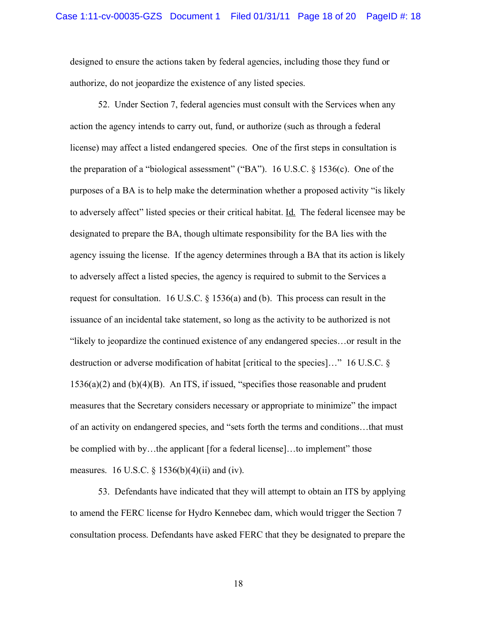designed to ensure the actions taken by federal agencies, including those they fund or authorize, do not jeopardize the existence of any listed species.

52. Under Section 7, federal agencies must consult with the Services when any action the agency intends to carry out, fund, or authorize (such as through a federal license) may affect a listed endangered species. One of the first steps in consultation is the preparation of a "biological assessment" ("BA"). 16 U.S.C. § 1536(c). One of the purposes of a BA is to help make the determination whether a proposed activity "is likely to adversely affect" listed species or their critical habitat. Id. The federal licensee may be designated to prepare the BA, though ultimate responsibility for the BA lies with the agency issuing the license. If the agency determines through a BA that its action is likely to adversely affect a listed species, the agency is required to submit to the Services a request for consultation. 16 U.S.C.  $\S$  1536(a) and (b). This process can result in the issuance of an incidental take statement, so long as the activity to be authorized is not "likely to jeopardize the continued existence of any endangered species…or result in the destruction or adverse modification of habitat [critical to the species]…" 16 U.S.C. §  $1536(a)(2)$  and  $(b)(4)(B)$ . An ITS, if issued, "specifies those reasonable and prudent measures that the Secretary considers necessary or appropriate to minimize" the impact of an activity on endangered species, and "sets forth the terms and conditions…that must be complied with by…the applicant [for a federal license]…to implement" those measures. 16 U.S.C.  $\S$  1536(b)(4)(ii) and (iv).

53. Defendants have indicated that they will attempt to obtain an ITS by applying to amend the FERC license for Hydro Kennebec dam, which would trigger the Section 7 consultation process. Defendants have asked FERC that they be designated to prepare the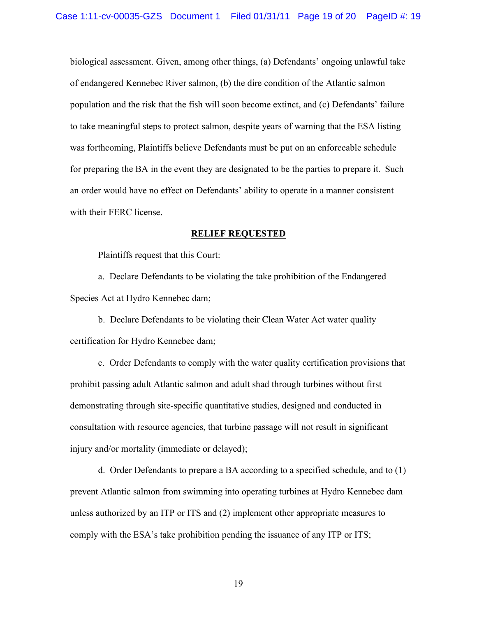biological assessment. Given, among other things, (a) Defendants' ongoing unlawful take of endangered Kennebec River salmon, (b) the dire condition of the Atlantic salmon population and the risk that the fish will soon become extinct, and (c) Defendants' failure to take meaningful steps to protect salmon, despite years of warning that the ESA listing was forthcoming, Plaintiffs believe Defendants must be put on an enforceable schedule for preparing the BA in the event they are designated to be the parties to prepare it. Such an order would have no effect on Defendants' ability to operate in a manner consistent with their FERC license.

#### **RELIEF REQUESTED**

Plaintiffs request that this Court:

a. Declare Defendants to be violating the take prohibition of the Endangered Species Act at Hydro Kennebec dam;

b. Declare Defendants to be violating their Clean Water Act water quality certification for Hydro Kennebec dam;

c. Order Defendants to comply with the water quality certification provisions that prohibit passing adult Atlantic salmon and adult shad through turbines without first demonstrating through site-specific quantitative studies, designed and conducted in consultation with resource agencies, that turbine passage will not result in significant injury and/or mortality (immediate or delayed);

d. Order Defendants to prepare a BA according to a specified schedule, and to (1) prevent Atlantic salmon from swimming into operating turbines at Hydro Kennebec dam unless authorized by an ITP or ITS and (2) implement other appropriate measures to comply with the ESA's take prohibition pending the issuance of any ITP or ITS;